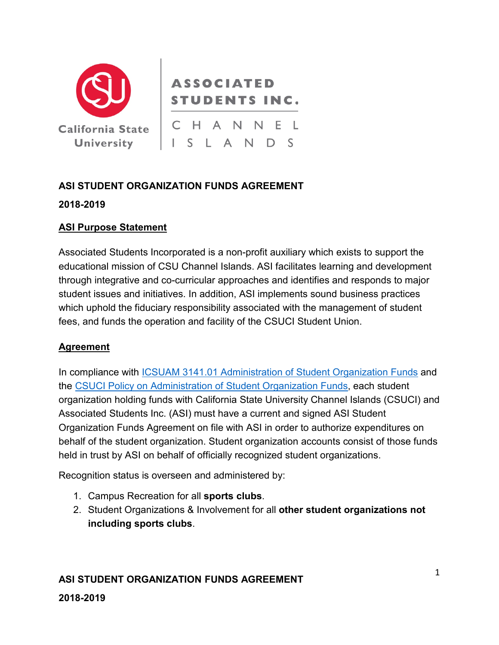

# **ASSOCIATED STUDENTS INC.**

California State | C H A N N E L ISLANDS

# **ASI STUDENT ORGANIZATION FUNDS AGREEMENT**

### **2018-2019**

### **ASI Purpose Statement**

Associated Students Incorporated is a non-profit auxiliary which exists to support the educational mission of CSU Channel Islands. ASI facilitates learning and development through integrative and co-curricular approaches and identifies and responds to major student issues and initiatives. In addition, ASI implements sound business practices which uphold the fiduciary responsibility associated with the management of student fees, and funds the operation and facility of the CSUCI Student Union.

# **Agreement**

In compliance with [ICSUAM 3141.01 Administration of Student Organization Funds](https://csyou.calstate.edu/Policies/icsuam/FinalPDF/Section%203000%20PDF/3141-01.pdf) and the [CSUCI Policy on Administration of Student Organization Funds,](http://policy.csuci.edu/fa/06/fa-06-001.htm) each student organization holding funds with California State University Channel Islands (CSUCI) and Associated Students Inc. (ASI) must have a current and signed ASI Student Organization Funds Agreement on file with ASI in order to authorize expenditures on behalf of the student organization. Student organization accounts consist of those funds held in trust by ASI on behalf of officially recognized student organizations.

Recognition status is overseen and administered by:

- 1. Campus Recreation for all **sports clubs**.
- 2. Student Organizations & Involvement for all **other student organizations not including sports clubs**.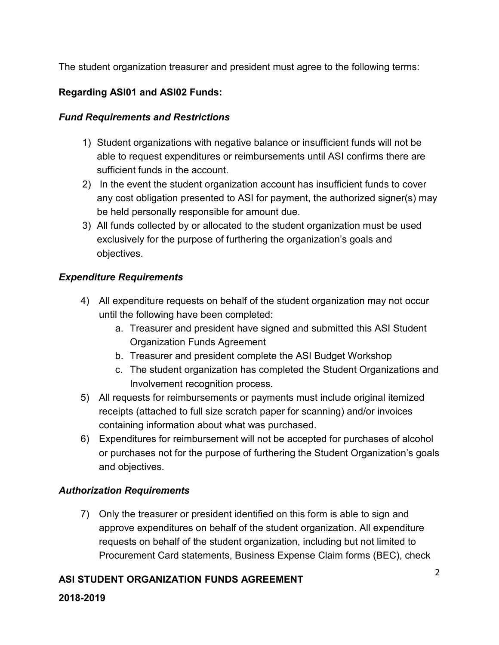The student organization treasurer and president must agree to the following terms:

# **Regarding ASI01 and ASI02 Funds:**

### *Fund Requirements and Restrictions*

- 1) Student organizations with negative balance or insufficient funds will not be able to request expenditures or reimbursements until ASI confirms there are sufficient funds in the account.
- 2) In the event the student organization account has insufficient funds to cover any cost obligation presented to ASI for payment, the authorized signer(s) may be held personally responsible for amount due.
- 3) All funds collected by or allocated to the student organization must be used exclusively for the purpose of furthering the organization's goals and objectives.

# *Expenditure Requirements*

- 4) All expenditure requests on behalf of the student organization may not occur until the following have been completed:
	- a. Treasurer and president have signed and submitted this ASI Student Organization Funds Agreement
	- b. Treasurer and president complete the ASI Budget Workshop
	- c. The student organization has completed the Student Organizations and Involvement recognition process.
- 5) All requests for reimbursements or payments must include original itemized receipts (attached to full size scratch paper for scanning) and/or invoices containing information about what was purchased.
- 6) Expenditures for reimbursement will not be accepted for purchases of alcohol or purchases not for the purpose of furthering the Student Organization's goals and objectives.

# *Authorization Requirements*

7) Only the treasurer or president identified on this form is able to sign and approve expenditures on behalf of the student organization. All expenditure requests on behalf of the student organization, including but not limited to Procurement Card statements, Business Expense Claim forms (BEC), check

# **ASI STUDENT ORGANIZATION FUNDS AGREEMENT**

#### **2018-2019**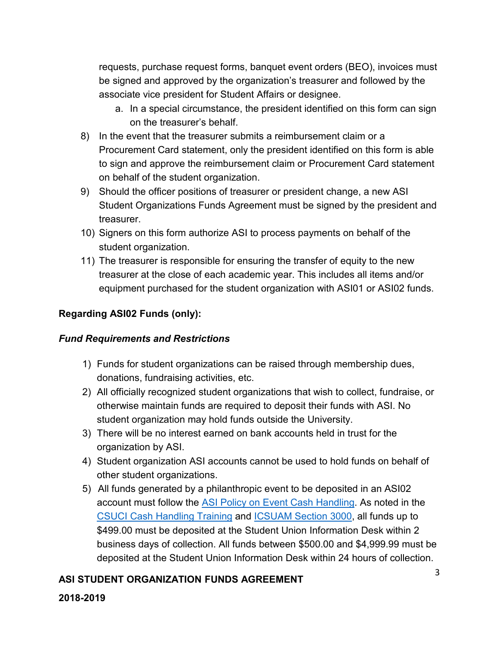requests, purchase request forms, banquet event orders (BEO), invoices must be signed and approved by the organization's treasurer and followed by the associate vice president for Student Affairs or designee.

- a. In a special circumstance, the president identified on this form can sign on the treasurer's behalf.
- 8) In the event that the treasurer submits a reimbursement claim or a Procurement Card statement, only the president identified on this form is able to sign and approve the reimbursement claim or Procurement Card statement on behalf of the student organization.
- 9) Should the officer positions of treasurer or president change, a new ASI Student Organizations Funds Agreement must be signed by the president and treasurer.
- 10) Signers on this form authorize ASI to process payments on behalf of the student organization.
- 11) The treasurer is responsible for ensuring the transfer of equity to the new treasurer at the close of each academic year. This includes all items and/or equipment purchased for the student organization with ASI01 or ASI02 funds.

### **Regarding ASI02 Funds (only):**

### *Fund Requirements and Restrictions*

- 1) Funds for student organizations can be raised through membership dues, donations, fundraising activities, etc.
- 2) All officially recognized student organizations that wish to collect, fundraise, or otherwise maintain funds are required to deposit their funds with ASI. No student organization may hold funds outside the University.
- 3) There will be no interest earned on bank accounts held in trust for the organization by ASI.
- 4) Student organization ASI accounts cannot be used to hold funds on behalf of other student organizations.
- 5) All funds generated by a philanthropic event to be deposited in an ASI02 account must follow the [ASI Policy on Event Cash Handling.](http://www.csuci.edu/financial-services/documents/ci-ar-event-cash-handling-asi.pdf) As noted in the [CSUCI Cash Handling Training](https://www.csuci.edu/clubs-organizations/workshops.htm) and [ICSUAM Section 3000,](http://calstate.edu/icsuam/documents/Section3000.pdf) all funds up to \$499.00 must be deposited at the Student Union Information Desk within 2 business days of collection. All funds between \$500.00 and \$4,999.99 must be deposited at the Student Union Information Desk within 24 hours of collection.

### **ASI STUDENT ORGANIZATION FUNDS AGREEMENT**

#### **2018-2019**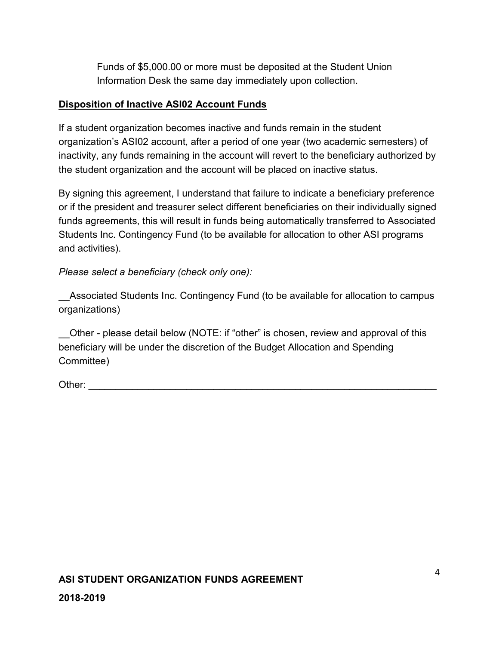Funds of \$5,000.00 or more must be deposited at the Student Union Information Desk the same day immediately upon collection.

### **Disposition of Inactive ASI02 Account Funds**

If a student organization becomes inactive and funds remain in the student organization's ASI02 account, after a period of one year (two academic semesters) of inactivity, any funds remaining in the account will revert to the beneficiary authorized by the student organization and the account will be placed on inactive status.

By signing this agreement, I understand that failure to indicate a beneficiary preference or if the president and treasurer select different beneficiaries on their individually signed funds agreements, this will result in funds being automatically transferred to Associated Students Inc. Contingency Fund (to be available for allocation to other ASI programs and activities).

*Please select a beneficiary (check only one):*

Associated Students Inc. Contingency Fund (to be available for allocation to campus organizations)

\_\_Other - please detail below (NOTE: if "other" is chosen, review and approval of this beneficiary will be under the discretion of the Budget Allocation and Spending Committee)

Other:  $\frac{1}{\sqrt{1-\frac{1}{2}}}$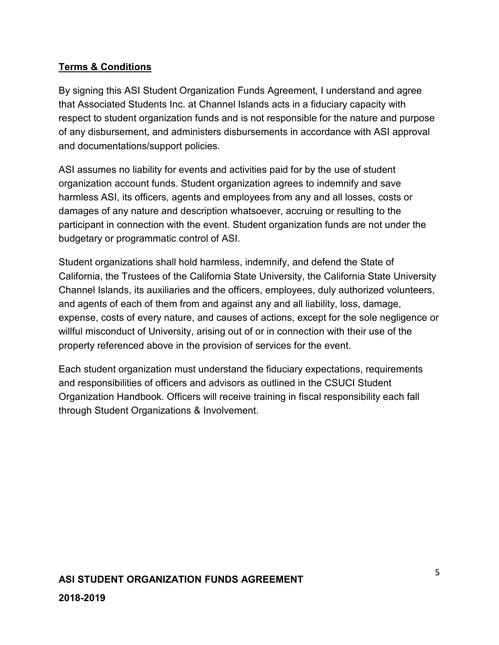# **Terms & Conditions**

By signing this ASI Student Organization Funds Agreement, I understand and agree that Associated Students Inc. at Channel Islands acts in a fiduciary capacity with respect to student organization funds and is not responsible for the nature and purpose of any disbursement, and administers disbursements in accordance with ASI approval and documentations/support policies.

ASI assumes no liability for events and activities paid for by the use of student organization account funds. Student organization agrees to indemnify and save harmless ASI, its officers, agents and employees from any and all losses, costs or damages of any nature and description whatsoever, accruing or resulting to the participant in connection with the event. Student organization funds are not under the budgetary or programmatic control of ASI.

Student organizations shall hold harmless, indemnify, and defend the State of California, the Trustees of the California State University, the California State University Channel Islands, its auxiliaries and the officers, employees, duly authorized volunteers, and agents of each of them from and against any and all liability, loss, damage, expense, costs of every nature, and causes of actions, except for the sole negligence or willful misconduct of University, arising out of or in connection with their use of the property referenced above in the provision of services for the event.

Each student organization must understand the fiduciary expectations, requirements and responsibilities of officers and advisors as outlined in the CSUCI Student Organization Handbook. Officers will receive training in fiscal responsibility each fall through Student Organizations & Involvement.